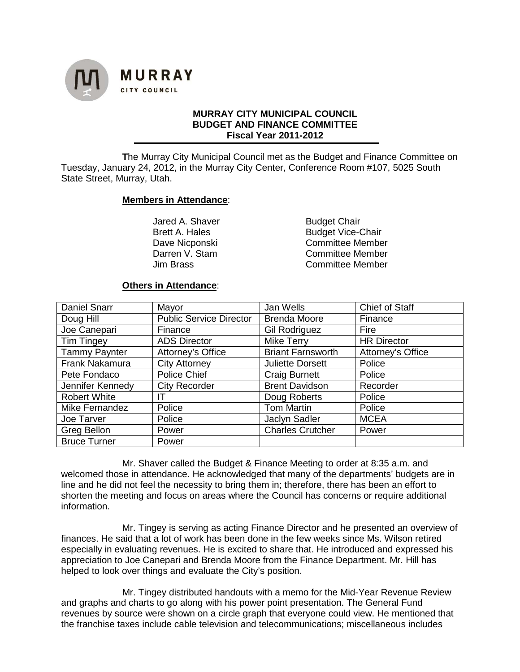

## **MURRAY CITY MUNICIPAL COUNCIL BUDGET AND FINANCE COMMITTEE Fiscal Year 2011-2012**

**T**he Murray City Municipal Council met as the Budget and Finance Committee on Tuesday, January 24, 2012, in the Murray City Center, Conference Room #107, 5025 South State Street, Murray, Utah.

### **Members in Attendance**:

Jared A. Shaver Budget Chair

Brett A. Hales Budget Vice-Chair Dave Nicponski Committee Member Darren V. Stam **Committee Member**<br>Jim Brass Committee Member Committee Member

### **Others in Attendance**:

| <b>Daniel Snarr</b>  | Mayor                          | Jan Wells                | <b>Chief of Staff</b> |
|----------------------|--------------------------------|--------------------------|-----------------------|
| Doug Hill            | <b>Public Service Director</b> | <b>Brenda Moore</b>      | Finance               |
| Joe Canepari         | Finance                        | <b>Gil Rodriguez</b>     | Fire                  |
| <b>Tim Tingey</b>    | <b>ADS Director</b>            | Mike Terry               | <b>HR Director</b>    |
| <b>Tammy Paynter</b> | Attorney's Office              | <b>Briant Farnsworth</b> | Attorney's Office     |
| Frank Nakamura       | <b>City Attorney</b>           | <b>Juliette Dorsett</b>  | Police                |
| Pete Fondaco         | Police Chief                   | <b>Craig Burnett</b>     | Police                |
| Jennifer Kennedy     | <b>City Recorder</b>           | <b>Brent Davidson</b>    | Recorder              |
| <b>Robert White</b>  | IΤ                             | Doug Roberts             | Police                |
| Mike Fernandez       | Police                         | <b>Tom Martin</b>        | Police                |
| Joe Tarver           | Police                         | Jaclyn Sadler            | <b>MCEA</b>           |
| Greg Bellon          | Power                          | <b>Charles Crutcher</b>  | Power                 |
| <b>Bruce Turner</b>  | Power                          |                          |                       |

Mr. Shaver called the Budget & Finance Meeting to order at 8:35 a.m. and welcomed those in attendance. He acknowledged that many of the departments' budgets are in line and he did not feel the necessity to bring them in; therefore, there has been an effort to shorten the meeting and focus on areas where the Council has concerns or require additional information.

Mr. Tingey is serving as acting Finance Director and he presented an overview of finances. He said that a lot of work has been done in the few weeks since Ms. Wilson retired especially in evaluating revenues. He is excited to share that. He introduced and expressed his appreciation to Joe Canepari and Brenda Moore from the Finance Department. Mr. Hill has helped to look over things and evaluate the City's position.

Mr. Tingey distributed handouts with a memo for the Mid-Year Revenue Review and graphs and charts to go along with his power point presentation. The General Fund revenues by source were shown on a circle graph that everyone could view. He mentioned that the franchise taxes include cable television and telecommunications; miscellaneous includes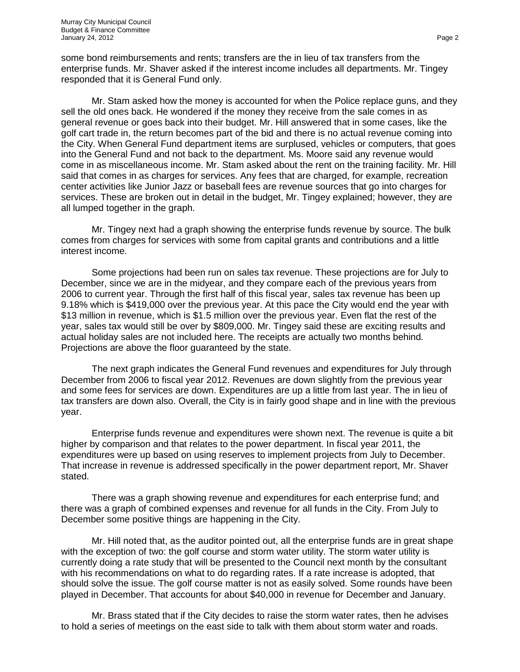some bond reimbursements and rents; transfers are the in lieu of tax transfers from the enterprise funds. Mr. Shaver asked if the interest income includes all departments. Mr. Tingey responded that it is General Fund only.

Mr. Stam asked how the money is accounted for when the Police replace guns, and they sell the old ones back. He wondered if the money they receive from the sale comes in as general revenue or goes back into their budget. Mr. Hill answered that in some cases, like the golf cart trade in, the return becomes part of the bid and there is no actual revenue coming into the City. When General Fund department items are surplused, vehicles or computers, that goes into the General Fund and not back to the department. Ms. Moore said any revenue would come in as miscellaneous income. Mr. Stam asked about the rent on the training facility. Mr. Hill said that comes in as charges for services. Any fees that are charged, for example, recreation center activities like Junior Jazz or baseball fees are revenue sources that go into charges for services. These are broken out in detail in the budget, Mr. Tingey explained; however, they are all lumped together in the graph.

Mr. Tingey next had a graph showing the enterprise funds revenue by source. The bulk comes from charges for services with some from capital grants and contributions and a little interest income.

Some projections had been run on sales tax revenue. These projections are for July to December, since we are in the midyear, and they compare each of the previous years from 2006 to current year. Through the first half of this fiscal year, sales tax revenue has been up 9.18% which is \$419,000 over the previous year. At this pace the City would end the year with \$13 million in revenue, which is \$1.5 million over the previous year. Even flat the rest of the year, sales tax would still be over by \$809,000. Mr. Tingey said these are exciting results and actual holiday sales are not included here. The receipts are actually two months behind. Projections are above the floor guaranteed by the state.

The next graph indicates the General Fund revenues and expenditures for July through December from 2006 to fiscal year 2012. Revenues are down slightly from the previous year and some fees for services are down. Expenditures are up a little from last year. The in lieu of tax transfers are down also. Overall, the City is in fairly good shape and in line with the previous year.

Enterprise funds revenue and expenditures were shown next. The revenue is quite a bit higher by comparison and that relates to the power department. In fiscal year 2011, the expenditures were up based on using reserves to implement projects from July to December. That increase in revenue is addressed specifically in the power department report, Mr. Shaver stated.

There was a graph showing revenue and expenditures for each enterprise fund; and there was a graph of combined expenses and revenue for all funds in the City. From July to December some positive things are happening in the City.

Mr. Hill noted that, as the auditor pointed out, all the enterprise funds are in great shape with the exception of two: the golf course and storm water utility. The storm water utility is currently doing a rate study that will be presented to the Council next month by the consultant with his recommendations on what to do regarding rates. If a rate increase is adopted, that should solve the issue. The golf course matter is not as easily solved. Some rounds have been played in December. That accounts for about \$40,000 in revenue for December and January.

Mr. Brass stated that if the City decides to raise the storm water rates, then he advises to hold a series of meetings on the east side to talk with them about storm water and roads.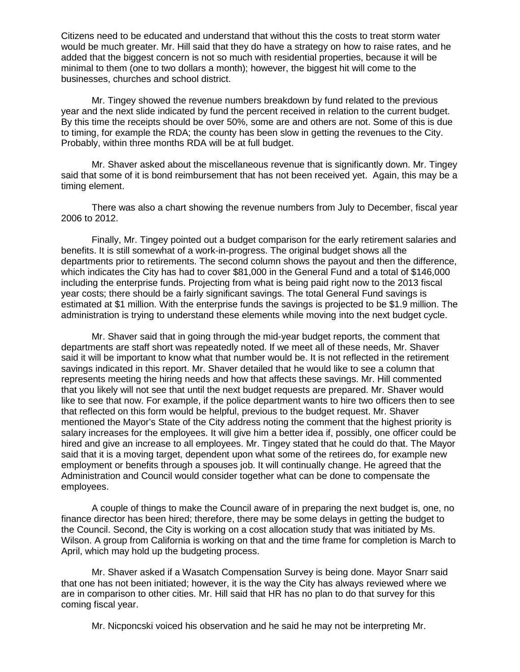Citizens need to be educated and understand that without this the costs to treat storm water would be much greater. Mr. Hill said that they do have a strategy on how to raise rates, and he added that the biggest concern is not so much with residential properties, because it will be minimal to them (one to two dollars a month); however, the biggest hit will come to the businesses, churches and school district.

Mr. Tingey showed the revenue numbers breakdown by fund related to the previous year and the next slide indicated by fund the percent received in relation to the current budget. By this time the receipts should be over 50%, some are and others are not. Some of this is due to timing, for example the RDA; the county has been slow in getting the revenues to the City. Probably, within three months RDA will be at full budget.

Mr. Shaver asked about the miscellaneous revenue that is significantly down. Mr. Tingey said that some of it is bond reimbursement that has not been received yet. Again, this may be a timing element.

There was also a chart showing the revenue numbers from July to December, fiscal year 2006 to 2012.

Finally, Mr. Tingey pointed out a budget comparison for the early retirement salaries and benefits. It is still somewhat of a work-in-progress. The original budget shows all the departments prior to retirements. The second column shows the payout and then the difference, which indicates the City has had to cover \$81,000 in the General Fund and a total of \$146,000 including the enterprise funds. Projecting from what is being paid right now to the 2013 fiscal year costs; there should be a fairly significant savings. The total General Fund savings is estimated at \$1 million. With the enterprise funds the savings is projected to be \$1.9 million. The administration is trying to understand these elements while moving into the next budget cycle.

Mr. Shaver said that in going through the mid-year budget reports, the comment that departments are staff short was repeatedly noted. If we meet all of these needs, Mr. Shaver said it will be important to know what that number would be. It is not reflected in the retirement savings indicated in this report. Mr. Shaver detailed that he would like to see a column that represents meeting the hiring needs and how that affects these savings. Mr. Hill commented that you likely will not see that until the next budget requests are prepared. Mr. Shaver would like to see that now. For example, if the police department wants to hire two officers then to see that reflected on this form would be helpful, previous to the budget request. Mr. Shaver mentioned the Mayor's State of the City address noting the comment that the highest priority is salary increases for the employees. It will give him a better idea if, possibly, one officer could be hired and give an increase to all employees. Mr. Tingey stated that he could do that. The Mayor said that it is a moving target, dependent upon what some of the retirees do, for example new employment or benefits through a spouses job. It will continually change. He agreed that the Administration and Council would consider together what can be done to compensate the employees.

A couple of things to make the Council aware of in preparing the next budget is, one, no finance director has been hired; therefore, there may be some delays in getting the budget to the Council. Second, the City is working on a cost allocation study that was initiated by Ms. Wilson. A group from California is working on that and the time frame for completion is March to April, which may hold up the budgeting process.

Mr. Shaver asked if a Wasatch Compensation Survey is being done. Mayor Snarr said that one has not been initiated; however, it is the way the City has always reviewed where we are in comparison to other cities. Mr. Hill said that HR has no plan to do that survey for this coming fiscal year.

Mr. Nicponcski voiced his observation and he said he may not be interpreting Mr.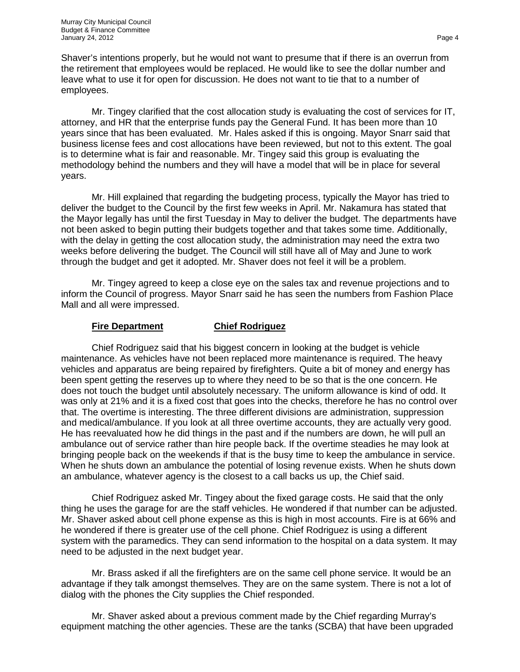Shaver's intentions properly, but he would not want to presume that if there is an overrun from the retirement that employees would be replaced. He would like to see the dollar number and leave what to use it for open for discussion. He does not want to tie that to a number of employees.

Mr. Tingey clarified that the cost allocation study is evaluating the cost of services for IT, attorney, and HR that the enterprise funds pay the General Fund. It has been more than 10 years since that has been evaluated. Mr. Hales asked if this is ongoing. Mayor Snarr said that business license fees and cost allocations have been reviewed, but not to this extent. The goal is to determine what is fair and reasonable. Mr. Tingey said this group is evaluating the methodology behind the numbers and they will have a model that will be in place for several years.

Mr. Hill explained that regarding the budgeting process, typically the Mayor has tried to deliver the budget to the Council by the first few weeks in April. Mr. Nakamura has stated that the Mayor legally has until the first Tuesday in May to deliver the budget. The departments have not been asked to begin putting their budgets together and that takes some time. Additionally, with the delay in getting the cost allocation study, the administration may need the extra two weeks before delivering the budget. The Council will still have all of May and June to work through the budget and get it adopted. Mr. Shaver does not feel it will be a problem.

Mr. Tingey agreed to keep a close eye on the sales tax and revenue projections and to inform the Council of progress. Mayor Snarr said he has seen the numbers from Fashion Place Mall and all were impressed.

# **Fire Department Chief Rodriguez**

Chief Rodriguez said that his biggest concern in looking at the budget is vehicle maintenance. As vehicles have not been replaced more maintenance is required. The heavy vehicles and apparatus are being repaired by firefighters. Quite a bit of money and energy has been spent getting the reserves up to where they need to be so that is the one concern. He does not touch the budget until absolutely necessary. The uniform allowance is kind of odd. It was only at 21% and it is a fixed cost that goes into the checks, therefore he has no control over that. The overtime is interesting. The three different divisions are administration, suppression and medical/ambulance. If you look at all three overtime accounts, they are actually very good. He has reevaluated how he did things in the past and if the numbers are down, he will pull an ambulance out of service rather than hire people back. If the overtime steadies he may look at bringing people back on the weekends if that is the busy time to keep the ambulance in service. When he shuts down an ambulance the potential of losing revenue exists. When he shuts down an ambulance, whatever agency is the closest to a call backs us up, the Chief said.

Chief Rodriguez asked Mr. Tingey about the fixed garage costs. He said that the only thing he uses the garage for are the staff vehicles. He wondered if that number can be adjusted. Mr. Shaver asked about cell phone expense as this is high in most accounts. Fire is at 66% and he wondered if there is greater use of the cell phone. Chief Rodriguez is using a different system with the paramedics. They can send information to the hospital on a data system. It may need to be adjusted in the next budget year.

Mr. Brass asked if all the firefighters are on the same cell phone service. It would be an advantage if they talk amongst themselves. They are on the same system. There is not a lot of dialog with the phones the City supplies the Chief responded.

Mr. Shaver asked about a previous comment made by the Chief regarding Murray's equipment matching the other agencies. These are the tanks (SCBA) that have been upgraded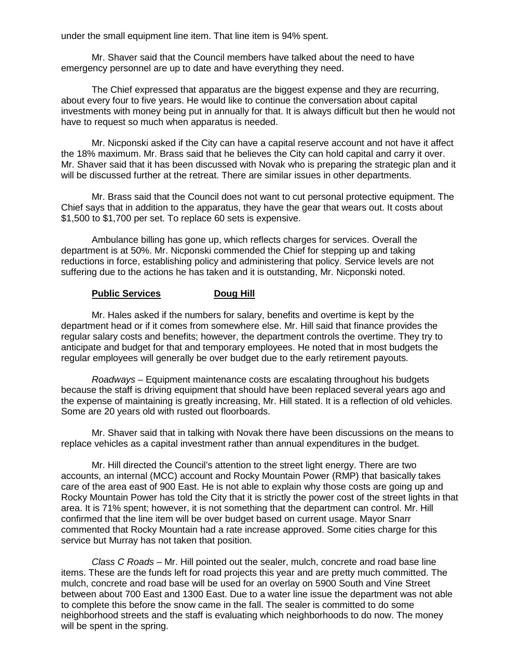under the small equipment line item. That line item is 94% spent.

Mr. Shaver said that the Council members have talked about the need to have emergency personnel are up to date and have everything they need.

The Chief expressed that apparatus are the biggest expense and they are recurring, about every four to five years. He would like to continue the conversation about capital investments with money being put in annually for that. It is always difficult but then he would not have to request so much when apparatus is needed.

Mr. Nicponski asked if the City can have a capital reserve account and not have it affect the 18% maximum. Mr. Brass said that he believes the City can hold capital and carry it over. Mr. Shaver said that it has been discussed with Novak who is preparing the strategic plan and it will be discussed further at the retreat. There are similar issues in other departments.

Mr. Brass said that the Council does not want to cut personal protective equipment. The Chief says that in addition to the apparatus, they have the gear that wears out. It costs about \$1,500 to \$1,700 per set. To replace 60 sets is expensive.

Ambulance billing has gone up, which reflects charges for services. Overall the department is at 50%. Mr. Nicponski commended the Chief for stepping up and taking reductions in force, establishing policy and administering that policy. Service levels are not suffering due to the actions he has taken and it is outstanding, Mr. Nicponski noted.

# **Public Services Doug Hill**

Mr. Hales asked if the numbers for salary, benefits and overtime is kept by the department head or if it comes from somewhere else. Mr. Hill said that finance provides the regular salary costs and benefits; however, the department controls the overtime. They try to anticipate and budget for that and temporary employees. He noted that in most budgets the regular employees will generally be over budget due to the early retirement payouts.

*Roadways* – Equipment maintenance costs are escalating throughout his budgets because the staff is driving equipment that should have been replaced several years ago and the expense of maintaining is greatly increasing, Mr. Hill stated. It is a reflection of old vehicles. Some are 20 years old with rusted out floorboards.

Mr. Shaver said that in talking with Novak there have been discussions on the means to replace vehicles as a capital investment rather than annual expenditures in the budget.

Mr. Hill directed the Council's attention to the street light energy. There are two accounts, an internal (MCC) account and Rocky Mountain Power (RMP) that basically takes care of the area east of 900 East. He is not able to explain why those costs are going up and Rocky Mountain Power has told the City that it is strictly the power cost of the street lights in that area. It is 71% spent; however, it is not something that the department can control. Mr. Hill confirmed that the line item will be over budget based on current usage. Mayor Snarr commented that Rocky Mountain had a rate increase approved. Some cities charge for this service but Murray has not taken that position.

*Class C Roads* – Mr. Hill pointed out the sealer, mulch, concrete and road base line items. These are the funds left for road projects this year and are pretty much committed. The mulch, concrete and road base will be used for an overlay on 5900 South and Vine Street between about 700 East and 1300 East. Due to a water line issue the department was not able to complete this before the snow came in the fall. The sealer is committed to do some neighborhood streets and the staff is evaluating which neighborhoods to do now. The money will be spent in the spring.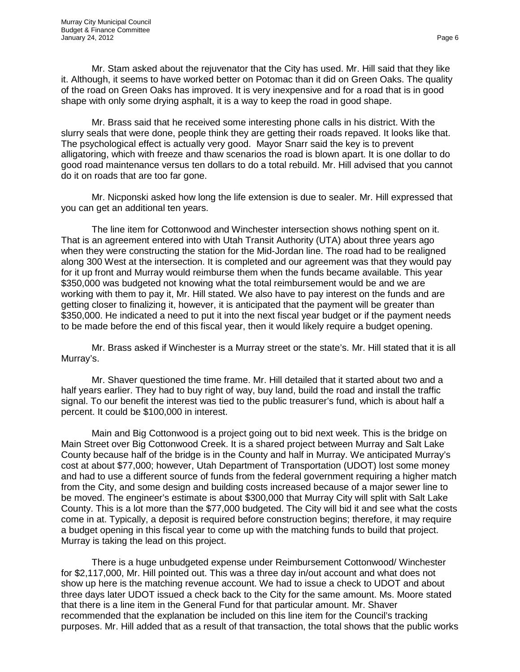Mr. Stam asked about the rejuvenator that the City has used. Mr. Hill said that they like it. Although, it seems to have worked better on Potomac than it did on Green Oaks. The quality of the road on Green Oaks has improved. It is very inexpensive and for a road that is in good shape with only some drying asphalt, it is a way to keep the road in good shape.

Mr. Brass said that he received some interesting phone calls in his district. With the slurry seals that were done, people think they are getting their roads repaved. It looks like that. The psychological effect is actually very good. Mayor Snarr said the key is to prevent alligatoring, which with freeze and thaw scenarios the road is blown apart. It is one dollar to do good road maintenance versus ten dollars to do a total rebuild. Mr. Hill advised that you cannot do it on roads that are too far gone.

Mr. Nicponski asked how long the life extension is due to sealer. Mr. Hill expressed that you can get an additional ten years.

The line item for Cottonwood and Winchester intersection shows nothing spent on it. That is an agreement entered into with Utah Transit Authority (UTA) about three years ago when they were constructing the station for the Mid-Jordan line. The road had to be realigned along 300 West at the intersection. It is completed and our agreement was that they would pay for it up front and Murray would reimburse them when the funds became available. This year \$350,000 was budgeted not knowing what the total reimbursement would be and we are working with them to pay it, Mr. Hill stated. We also have to pay interest on the funds and are getting closer to finalizing it, however, it is anticipated that the payment will be greater than \$350,000. He indicated a need to put it into the next fiscal year budget or if the payment needs to be made before the end of this fiscal year, then it would likely require a budget opening.

Mr. Brass asked if Winchester is a Murray street or the state's. Mr. Hill stated that it is all Murray's.

Mr. Shaver questioned the time frame. Mr. Hill detailed that it started about two and a half years earlier. They had to buy right of way, buy land, build the road and install the traffic signal. To our benefit the interest was tied to the public treasurer's fund, which is about half a percent. It could be \$100,000 in interest.

Main and Big Cottonwood is a project going out to bid next week. This is the bridge on Main Street over Big Cottonwood Creek. It is a shared project between Murray and Salt Lake County because half of the bridge is in the County and half in Murray. We anticipated Murray's cost at about \$77,000; however, Utah Department of Transportation (UDOT) lost some money and had to use a different source of funds from the federal government requiring a higher match from the City, and some design and building costs increased because of a major sewer line to be moved. The engineer's estimate is about \$300,000 that Murray City will split with Salt Lake County. This is a lot more than the \$77,000 budgeted. The City will bid it and see what the costs come in at. Typically, a deposit is required before construction begins; therefore, it may require a budget opening in this fiscal year to come up with the matching funds to build that project. Murray is taking the lead on this project.

There is a huge unbudgeted expense under Reimbursement Cottonwood/ Winchester for \$2,117,000, Mr. Hill pointed out. This was a three day in/out account and what does not show up here is the matching revenue account. We had to issue a check to UDOT and about three days later UDOT issued a check back to the City for the same amount. Ms. Moore stated that there is a line item in the General Fund for that particular amount. Mr. Shaver recommended that the explanation be included on this line item for the Council's tracking purposes. Mr. Hill added that as a result of that transaction, the total shows that the public works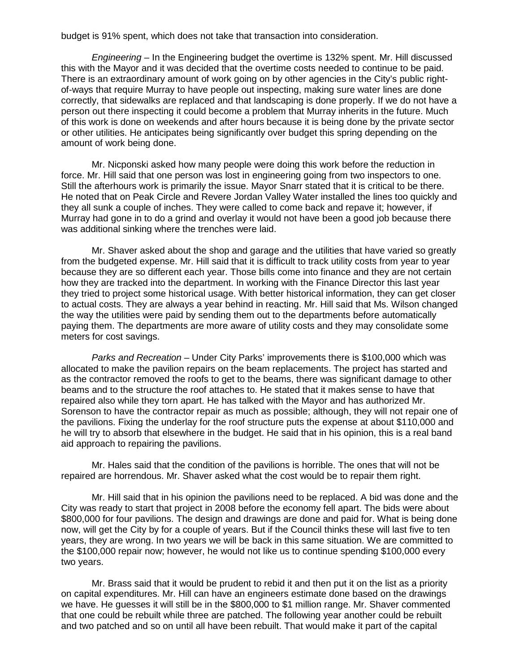budget is 91% spent, which does not take that transaction into consideration.

*Engineering* – In the Engineering budget the overtime is 132% spent. Mr. Hill discussed this with the Mayor and it was decided that the overtime costs needed to continue to be paid. There is an extraordinary amount of work going on by other agencies in the City's public rightof-ways that require Murray to have people out inspecting, making sure water lines are done correctly, that sidewalks are replaced and that landscaping is done properly. If we do not have a person out there inspecting it could become a problem that Murray inherits in the future. Much of this work is done on weekends and after hours because it is being done by the private sector or other utilities. He anticipates being significantly over budget this spring depending on the amount of work being done.

Mr. Nicponski asked how many people were doing this work before the reduction in force. Mr. Hill said that one person was lost in engineering going from two inspectors to one. Still the afterhours work is primarily the issue. Mayor Snarr stated that it is critical to be there. He noted that on Peak Circle and Revere Jordan Valley Water installed the lines too quickly and they all sunk a couple of inches. They were called to come back and repave it; however, if Murray had gone in to do a grind and overlay it would not have been a good job because there was additional sinking where the trenches were laid.

Mr. Shaver asked about the shop and garage and the utilities that have varied so greatly from the budgeted expense. Mr. Hill said that it is difficult to track utility costs from year to year because they are so different each year. Those bills come into finance and they are not certain how they are tracked into the department. In working with the Finance Director this last year they tried to project some historical usage. With better historical information, they can get closer to actual costs. They are always a year behind in reacting. Mr. Hill said that Ms. Wilson changed the way the utilities were paid by sending them out to the departments before automatically paying them. The departments are more aware of utility costs and they may consolidate some meters for cost savings.

*Parks and Recreation* – Under City Parks' improvements there is \$100,000 which was allocated to make the pavilion repairs on the beam replacements. The project has started and as the contractor removed the roofs to get to the beams, there was significant damage to other beams and to the structure the roof attaches to. He stated that it makes sense to have that repaired also while they torn apart. He has talked with the Mayor and has authorized Mr. Sorenson to have the contractor repair as much as possible; although, they will not repair one of the pavilions. Fixing the underlay for the roof structure puts the expense at about \$110,000 and he will try to absorb that elsewhere in the budget. He said that in his opinion, this is a real band aid approach to repairing the pavilions.

Mr. Hales said that the condition of the pavilions is horrible. The ones that will not be repaired are horrendous. Mr. Shaver asked what the cost would be to repair them right.

Mr. Hill said that in his opinion the pavilions need to be replaced. A bid was done and the City was ready to start that project in 2008 before the economy fell apart. The bids were about \$800,000 for four pavilions. The design and drawings are done and paid for. What is being done now, will get the City by for a couple of years. But if the Council thinks these will last five to ten years, they are wrong. In two years we will be back in this same situation. We are committed to the \$100,000 repair now; however, he would not like us to continue spending \$100,000 every two years.

Mr. Brass said that it would be prudent to rebid it and then put it on the list as a priority on capital expenditures. Mr. Hill can have an engineers estimate done based on the drawings we have. He guesses it will still be in the \$800,000 to \$1 million range. Mr. Shaver commented that one could be rebuilt while three are patched. The following year another could be rebuilt and two patched and so on until all have been rebuilt. That would make it part of the capital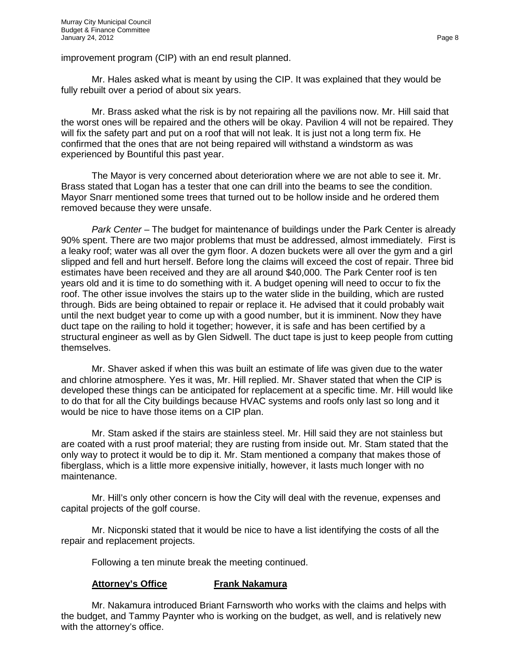improvement program (CIP) with an end result planned.

Mr. Hales asked what is meant by using the CIP. It was explained that they would be fully rebuilt over a period of about six years.

Mr. Brass asked what the risk is by not repairing all the pavilions now. Mr. Hill said that the worst ones will be repaired and the others will be okay. Pavilion 4 will not be repaired. They will fix the safety part and put on a roof that will not leak. It is just not a long term fix. He confirmed that the ones that are not being repaired will withstand a windstorm as was experienced by Bountiful this past year.

The Mayor is very concerned about deterioration where we are not able to see it. Mr. Brass stated that Logan has a tester that one can drill into the beams to see the condition. Mayor Snarr mentioned some trees that turned out to be hollow inside and he ordered them removed because they were unsafe.

*Park Center* – The budget for maintenance of buildings under the Park Center is already 90% spent. There are two major problems that must be addressed, almost immediately. First is a leaky roof; water was all over the gym floor. A dozen buckets were all over the gym and a girl slipped and fell and hurt herself. Before long the claims will exceed the cost of repair. Three bid estimates have been received and they are all around \$40,000. The Park Center roof is ten years old and it is time to do something with it. A budget opening will need to occur to fix the roof. The other issue involves the stairs up to the water slide in the building, which are rusted through. Bids are being obtained to repair or replace it. He advised that it could probably wait until the next budget year to come up with a good number, but it is imminent. Now they have duct tape on the railing to hold it together; however, it is safe and has been certified by a structural engineer as well as by Glen Sidwell. The duct tape is just to keep people from cutting themselves.

Mr. Shaver asked if when this was built an estimate of life was given due to the water and chlorine atmosphere. Yes it was, Mr. Hill replied. Mr. Shaver stated that when the CIP is developed these things can be anticipated for replacement at a specific time. Mr. Hill would like to do that for all the City buildings because HVAC systems and roofs only last so long and it would be nice to have those items on a CIP plan.

Mr. Stam asked if the stairs are stainless steel. Mr. Hill said they are not stainless but are coated with a rust proof material; they are rusting from inside out. Mr. Stam stated that the only way to protect it would be to dip it. Mr. Stam mentioned a company that makes those of fiberglass, which is a little more expensive initially, however, it lasts much longer with no maintenance.

Mr. Hill's only other concern is how the City will deal with the revenue, expenses and capital projects of the golf course.

Mr. Nicponski stated that it would be nice to have a list identifying the costs of all the repair and replacement projects.

Following a ten minute break the meeting continued.

# **Attorney's Office Frank Nakamura**

Mr. Nakamura introduced Briant Farnsworth who works with the claims and helps with the budget, and Tammy Paynter who is working on the budget, as well, and is relatively new with the attorney's office.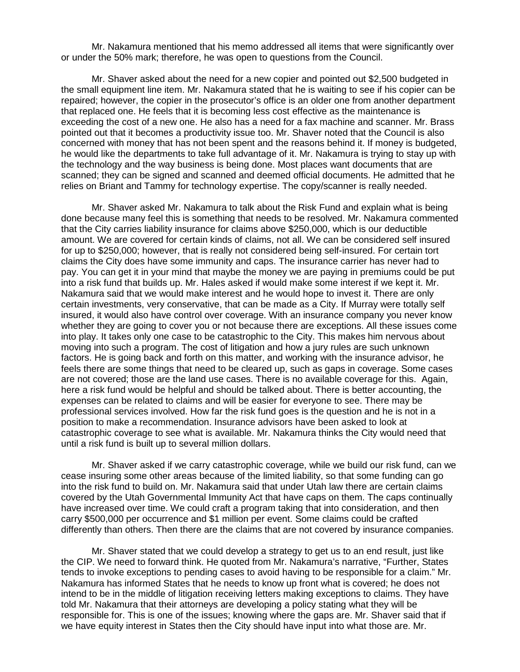Mr. Nakamura mentioned that his memo addressed all items that were significantly over or under the 50% mark; therefore, he was open to questions from the Council.

Mr. Shaver asked about the need for a new copier and pointed out \$2,500 budgeted in the small equipment line item. Mr. Nakamura stated that he is waiting to see if his copier can be repaired; however, the copier in the prosecutor's office is an older one from another department that replaced one. He feels that it is becoming less cost effective as the maintenance is exceeding the cost of a new one. He also has a need for a fax machine and scanner. Mr. Brass pointed out that it becomes a productivity issue too. Mr. Shaver noted that the Council is also concerned with money that has not been spent and the reasons behind it. If money is budgeted, he would like the departments to take full advantage of it. Mr. Nakamura is trying to stay up with the technology and the way business is being done. Most places want documents that are scanned; they can be signed and scanned and deemed official documents. He admitted that he relies on Briant and Tammy for technology expertise. The copy/scanner is really needed.

Mr. Shaver asked Mr. Nakamura to talk about the Risk Fund and explain what is being done because many feel this is something that needs to be resolved. Mr. Nakamura commented that the City carries liability insurance for claims above \$250,000, which is our deductible amount. We are covered for certain kinds of claims, not all. We can be considered self insured for up to \$250,000; however, that is really not considered being self-insured. For certain tort claims the City does have some immunity and caps. The insurance carrier has never had to pay. You can get it in your mind that maybe the money we are paying in premiums could be put into a risk fund that builds up. Mr. Hales asked if would make some interest if we kept it. Mr. Nakamura said that we would make interest and he would hope to invest it. There are only certain investments, very conservative, that can be made as a City. If Murray were totally self insured, it would also have control over coverage. With an insurance company you never know whether they are going to cover you or not because there are exceptions. All these issues come into play. It takes only one case to be catastrophic to the City. This makes him nervous about moving into such a program. The cost of litigation and how a jury rules are such unknown factors. He is going back and forth on this matter, and working with the insurance advisor, he feels there are some things that need to be cleared up, such as gaps in coverage. Some cases are not covered; those are the land use cases. There is no available coverage for this. Again, here a risk fund would be helpful and should be talked about. There is better accounting, the expenses can be related to claims and will be easier for everyone to see. There may be professional services involved. How far the risk fund goes is the question and he is not in a position to make a recommendation. Insurance advisors have been asked to look at catastrophic coverage to see what is available. Mr. Nakamura thinks the City would need that until a risk fund is built up to several million dollars.

Mr. Shaver asked if we carry catastrophic coverage, while we build our risk fund, can we cease insuring some other areas because of the limited liability, so that some funding can go into the risk fund to build on. Mr. Nakamura said that under Utah law there are certain claims covered by the Utah Governmental Immunity Act that have caps on them. The caps continually have increased over time. We could craft a program taking that into consideration, and then carry \$500,000 per occurrence and \$1 million per event. Some claims could be crafted differently than others. Then there are the claims that are not covered by insurance companies.

Mr. Shaver stated that we could develop a strategy to get us to an end result, just like the CIP. We need to forward think. He quoted from Mr. Nakamura's narrative, "Further, States tends to invoke exceptions to pending cases to avoid having to be responsible for a claim." Mr. Nakamura has informed States that he needs to know up front what is covered; he does not intend to be in the middle of litigation receiving letters making exceptions to claims. They have told Mr. Nakamura that their attorneys are developing a policy stating what they will be responsible for. This is one of the issues; knowing where the gaps are. Mr. Shaver said that if we have equity interest in States then the City should have input into what those are. Mr.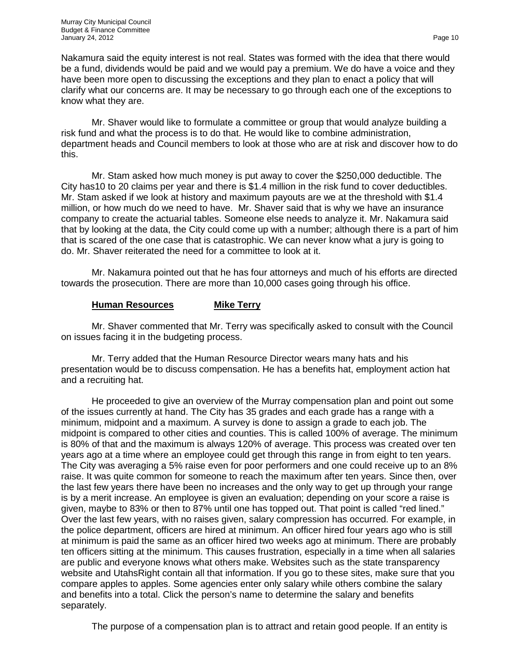Nakamura said the equity interest is not real. States was formed with the idea that there would be a fund, dividends would be paid and we would pay a premium. We do have a voice and they have been more open to discussing the exceptions and they plan to enact a policy that will clarify what our concerns are. It may be necessary to go through each one of the exceptions to know what they are.

Mr. Shaver would like to formulate a committee or group that would analyze building a risk fund and what the process is to do that. He would like to combine administration, department heads and Council members to look at those who are at risk and discover how to do this.

Mr. Stam asked how much money is put away to cover the \$250,000 deductible. The City has10 to 20 claims per year and there is \$1.4 million in the risk fund to cover deductibles. Mr. Stam asked if we look at history and maximum payouts are we at the threshold with \$1.4 million, or how much do we need to have. Mr. Shaver said that is why we have an insurance company to create the actuarial tables. Someone else needs to analyze it. Mr. Nakamura said that by looking at the data, the City could come up with a number; although there is a part of him that is scared of the one case that is catastrophic. We can never know what a jury is going to do. Mr. Shaver reiterated the need for a committee to look at it.

Mr. Nakamura pointed out that he has four attorneys and much of his efforts are directed towards the prosecution. There are more than 10,000 cases going through his office.

## **Human Resources Mike Terry**

Mr. Shaver commented that Mr. Terry was specifically asked to consult with the Council on issues facing it in the budgeting process.

Mr. Terry added that the Human Resource Director wears many hats and his presentation would be to discuss compensation. He has a benefits hat, employment action hat and a recruiting hat.

He proceeded to give an overview of the Murray compensation plan and point out some of the issues currently at hand. The City has 35 grades and each grade has a range with a minimum, midpoint and a maximum. A survey is done to assign a grade to each job. The midpoint is compared to other cities and counties. This is called 100% of average. The minimum is 80% of that and the maximum is always 120% of average. This process was created over ten years ago at a time where an employee could get through this range in from eight to ten years. The City was averaging a 5% raise even for poor performers and one could receive up to an 8% raise. It was quite common for someone to reach the maximum after ten years. Since then, over the last few years there have been no increases and the only way to get up through your range is by a merit increase. An employee is given an evaluation; depending on your score a raise is given, maybe to 83% or then to 87% until one has topped out. That point is called "red lined." Over the last few years, with no raises given, salary compression has occurred. For example, in the police department, officers are hired at minimum. An officer hired four years ago who is still at minimum is paid the same as an officer hired two weeks ago at minimum. There are probably ten officers sitting at the minimum. This causes frustration, especially in a time when all salaries are public and everyone knows what others make. Websites such as the state transparency website and UtahsRight contain all that information. If you go to these sites, make sure that you compare apples to apples. Some agencies enter only salary while others combine the salary and benefits into a total. Click the person's name to determine the salary and benefits separately.

The purpose of a compensation plan is to attract and retain good people. If an entity is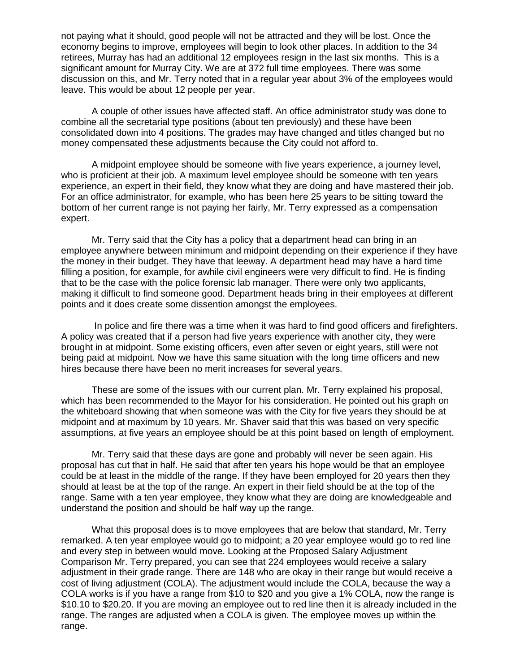not paying what it should, good people will not be attracted and they will be lost. Once the economy begins to improve, employees will begin to look other places. In addition to the 34 retirees, Murray has had an additional 12 employees resign in the last six months. This is a significant amount for Murray City. We are at 372 full time employees. There was some discussion on this, and Mr. Terry noted that in a regular year about 3% of the employees would leave. This would be about 12 people per year.

A couple of other issues have affected staff. An office administrator study was done to combine all the secretarial type positions (about ten previously) and these have been consolidated down into 4 positions. The grades may have changed and titles changed but no money compensated these adjustments because the City could not afford to.

A midpoint employee should be someone with five years experience, a journey level, who is proficient at their job. A maximum level employee should be someone with ten years experience, an expert in their field, they know what they are doing and have mastered their job. For an office administrator, for example, who has been here 25 years to be sitting toward the bottom of her current range is not paying her fairly, Mr. Terry expressed as a compensation expert.

Mr. Terry said that the City has a policy that a department head can bring in an employee anywhere between minimum and midpoint depending on their experience if they have the money in their budget. They have that leeway. A department head may have a hard time filling a position, for example, for awhile civil engineers were very difficult to find. He is finding that to be the case with the police forensic lab manager. There were only two applicants, making it difficult to find someone good. Department heads bring in their employees at different points and it does create some dissention amongst the employees.

In police and fire there was a time when it was hard to find good officers and firefighters. A policy was created that if a person had five years experience with another city, they were brought in at midpoint. Some existing officers, even after seven or eight years, still were not being paid at midpoint. Now we have this same situation with the long time officers and new hires because there have been no merit increases for several years.

These are some of the issues with our current plan. Mr. Terry explained his proposal, which has been recommended to the Mayor for his consideration. He pointed out his graph on the whiteboard showing that when someone was with the City for five years they should be at midpoint and at maximum by 10 years. Mr. Shaver said that this was based on very specific assumptions, at five years an employee should be at this point based on length of employment.

Mr. Terry said that these days are gone and probably will never be seen again. His proposal has cut that in half. He said that after ten years his hope would be that an employee could be at least in the middle of the range. If they have been employed for 20 years then they should at least be at the top of the range. An expert in their field should be at the top of the range. Same with a ten year employee, they know what they are doing are knowledgeable and understand the position and should be half way up the range.

What this proposal does is to move employees that are below that standard, Mr. Terry remarked. A ten year employee would go to midpoint; a 20 year employee would go to red line and every step in between would move. Looking at the Proposed Salary Adjustment Comparison Mr. Terry prepared, you can see that 224 employees would receive a salary adjustment in their grade range. There are 148 who are okay in their range but would receive a cost of living adjustment (COLA). The adjustment would include the COLA, because the way a COLA works is if you have a range from \$10 to \$20 and you give a 1% COLA, now the range is \$10.10 to \$20.20. If you are moving an employee out to red line then it is already included in the range. The ranges are adjusted when a COLA is given. The employee moves up within the range.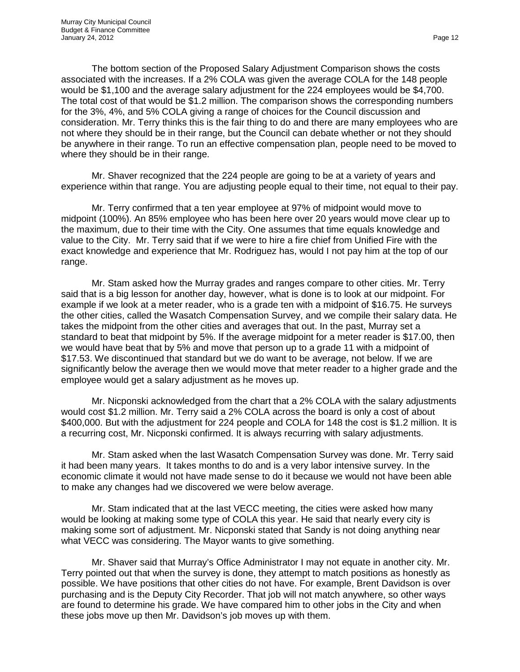The bottom section of the Proposed Salary Adjustment Comparison shows the costs associated with the increases. If a 2% COLA was given the average COLA for the 148 people would be \$1,100 and the average salary adjustment for the 224 employees would be \$4,700. The total cost of that would be \$1.2 million. The comparison shows the corresponding numbers for the 3%, 4%, and 5% COLA giving a range of choices for the Council discussion and consideration. Mr. Terry thinks this is the fair thing to do and there are many employees who are not where they should be in their range, but the Council can debate whether or not they should be anywhere in their range. To run an effective compensation plan, people need to be moved to where they should be in their range.

Mr. Shaver recognized that the 224 people are going to be at a variety of years and experience within that range. You are adjusting people equal to their time, not equal to their pay.

Mr. Terry confirmed that a ten year employee at 97% of midpoint would move to midpoint (100%). An 85% employee who has been here over 20 years would move clear up to the maximum, due to their time with the City. One assumes that time equals knowledge and value to the City. Mr. Terry said that if we were to hire a fire chief from Unified Fire with the exact knowledge and experience that Mr. Rodriguez has, would I not pay him at the top of our range.

Mr. Stam asked how the Murray grades and ranges compare to other cities. Mr. Terry said that is a big lesson for another day, however, what is done is to look at our midpoint. For example if we look at a meter reader, who is a grade ten with a midpoint of \$16.75. He surveys the other cities, called the Wasatch Compensation Survey, and we compile their salary data. He takes the midpoint from the other cities and averages that out. In the past, Murray set a standard to beat that midpoint by 5%. If the average midpoint for a meter reader is \$17.00, then we would have beat that by 5% and move that person up to a grade 11 with a midpoint of \$17.53. We discontinued that standard but we do want to be average, not below. If we are significantly below the average then we would move that meter reader to a higher grade and the employee would get a salary adjustment as he moves up.

Mr. Nicponski acknowledged from the chart that a 2% COLA with the salary adjustments would cost \$1.2 million. Mr. Terry said a 2% COLA across the board is only a cost of about \$400,000. But with the adjustment for 224 people and COLA for 148 the cost is \$1.2 million. It is a recurring cost, Mr. Nicponski confirmed. It is always recurring with salary adjustments.

Mr. Stam asked when the last Wasatch Compensation Survey was done. Mr. Terry said it had been many years. It takes months to do and is a very labor intensive survey. In the economic climate it would not have made sense to do it because we would not have been able to make any changes had we discovered we were below average.

Mr. Stam indicated that at the last VECC meeting, the cities were asked how many would be looking at making some type of COLA this year. He said that nearly every city is making some sort of adjustment. Mr. Nicponski stated that Sandy is not doing anything near what VECC was considering. The Mayor wants to give something.

Mr. Shaver said that Murray's Office Administrator I may not equate in another city. Mr. Terry pointed out that when the survey is done, they attempt to match positions as honestly as possible. We have positions that other cities do not have. For example, Brent Davidson is over purchasing and is the Deputy City Recorder. That job will not match anywhere, so other ways are found to determine his grade. We have compared him to other jobs in the City and when these jobs move up then Mr. Davidson's job moves up with them.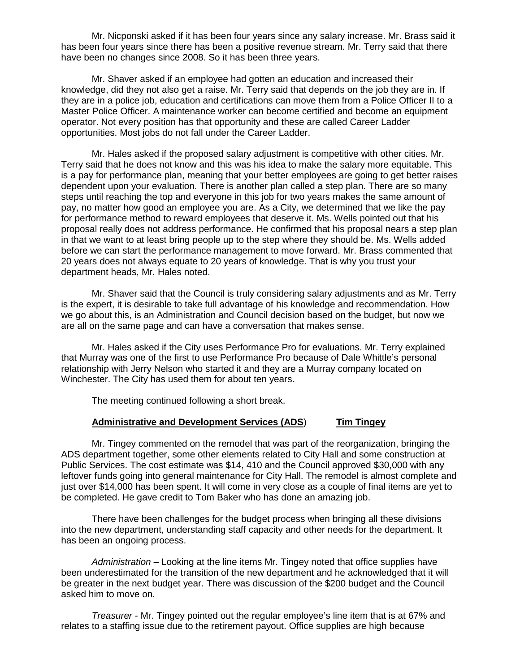Mr. Nicponski asked if it has been four years since any salary increase. Mr. Brass said it has been four years since there has been a positive revenue stream. Mr. Terry said that there have been no changes since 2008. So it has been three years.

Mr. Shaver asked if an employee had gotten an education and increased their knowledge, did they not also get a raise. Mr. Terry said that depends on the job they are in. If they are in a police job, education and certifications can move them from a Police Officer II to a Master Police Officer. A maintenance worker can become certified and become an equipment operator. Not every position has that opportunity and these are called Career Ladder opportunities. Most jobs do not fall under the Career Ladder.

Mr. Hales asked if the proposed salary adjustment is competitive with other cities. Mr. Terry said that he does not know and this was his idea to make the salary more equitable. This is a pay for performance plan, meaning that your better employees are going to get better raises dependent upon your evaluation. There is another plan called a step plan. There are so many steps until reaching the top and everyone in this job for two years makes the same amount of pay, no matter how good an employee you are. As a City, we determined that we like the pay for performance method to reward employees that deserve it. Ms. Wells pointed out that his proposal really does not address performance. He confirmed that his proposal nears a step plan in that we want to at least bring people up to the step where they should be. Ms. Wells added before we can start the performance management to move forward. Mr. Brass commented that 20 years does not always equate to 20 years of knowledge. That is why you trust your department heads, Mr. Hales noted.

Mr. Shaver said that the Council is truly considering salary adjustments and as Mr. Terry is the expert, it is desirable to take full advantage of his knowledge and recommendation. How we go about this, is an Administration and Council decision based on the budget, but now we are all on the same page and can have a conversation that makes sense.

Mr. Hales asked if the City uses Performance Pro for evaluations. Mr. Terry explained that Murray was one of the first to use Performance Pro because of Dale Whittle's personal relationship with Jerry Nelson who started it and they are a Murray company located on Winchester. The City has used them for about ten years.

The meeting continued following a short break.

## **Administrative and Development Services (ADS**) **Tim Tingey**

Mr. Tingey commented on the remodel that was part of the reorganization, bringing the ADS department together, some other elements related to City Hall and some construction at Public Services. The cost estimate was \$14, 410 and the Council approved \$30,000 with any leftover funds going into general maintenance for City Hall. The remodel is almost complete and just over \$14,000 has been spent. It will come in very close as a couple of final items are yet to be completed. He gave credit to Tom Baker who has done an amazing job.

There have been challenges for the budget process when bringing all these divisions into the new department, understanding staff capacity and other needs for the department. It has been an ongoing process.

*Administration –* Looking at the line items Mr. Tingey noted that office supplies have been underestimated for the transition of the new department and he acknowledged that it will be greater in the next budget year. There was discussion of the \$200 budget and the Council asked him to move on.

*Treasurer -* Mr. Tingey pointed out the regular employee's line item that is at 67% and relates to a staffing issue due to the retirement payout. Office supplies are high because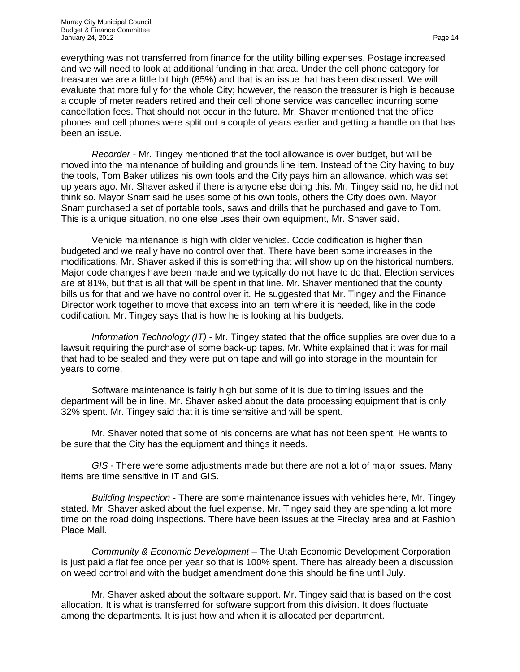everything was not transferred from finance for the utility billing expenses. Postage increased and we will need to look at additional funding in that area. Under the cell phone category for treasurer we are a little bit high (85%) and that is an issue that has been discussed. We will evaluate that more fully for the whole City; however, the reason the treasurer is high is because a couple of meter readers retired and their cell phone service was cancelled incurring some cancellation fees. That should not occur in the future. Mr. Shaver mentioned that the office phones and cell phones were split out a couple of years earlier and getting a handle on that has been an issue.

*Recorder -* Mr. Tingey mentioned that the tool allowance is over budget, but will be moved into the maintenance of building and grounds line item. Instead of the City having to buy the tools, Tom Baker utilizes his own tools and the City pays him an allowance, which was set up years ago. Mr. Shaver asked if there is anyone else doing this. Mr. Tingey said no, he did not think so. Mayor Snarr said he uses some of his own tools, others the City does own. Mayor Snarr purchased a set of portable tools, saws and drills that he purchased and gave to Tom. This is a unique situation, no one else uses their own equipment, Mr. Shaver said.

Vehicle maintenance is high with older vehicles. Code codification is higher than budgeted and we really have no control over that. There have been some increases in the modifications. Mr. Shaver asked if this is something that will show up on the historical numbers. Major code changes have been made and we typically do not have to do that. Election services are at 81%, but that is all that will be spent in that line. Mr. Shaver mentioned that the county bills us for that and we have no control over it. He suggested that Mr. Tingey and the Finance Director work together to move that excess into an item where it is needed, like in the code codification. Mr. Tingey says that is how he is looking at his budgets.

*Information Technology (IT) -* Mr. Tingey stated that the office supplies are over due to a lawsuit requiring the purchase of some back-up tapes. Mr. White explained that it was for mail that had to be sealed and they were put on tape and will go into storage in the mountain for years to come.

Software maintenance is fairly high but some of it is due to timing issues and the department will be in line. Mr. Shaver asked about the data processing equipment that is only 32% spent. Mr. Tingey said that it is time sensitive and will be spent.

Mr. Shaver noted that some of his concerns are what has not been spent. He wants to be sure that the City has the equipment and things it needs.

*GIS* - There were some adjustments made but there are not a lot of major issues. Many items are time sensitive in IT and GIS.

*Building Inspection* - There are some maintenance issues with vehicles here, Mr. Tingey stated. Mr. Shaver asked about the fuel expense. Mr. Tingey said they are spending a lot more time on the road doing inspections. There have been issues at the Fireclay area and at Fashion Place Mall.

*Community & Economic Development* – The Utah Economic Development Corporation is just paid a flat fee once per year so that is 100% spent. There has already been a discussion on weed control and with the budget amendment done this should be fine until July.

Mr. Shaver asked about the software support. Mr. Tingey said that is based on the cost allocation. It is what is transferred for software support from this division. It does fluctuate among the departments. It is just how and when it is allocated per department.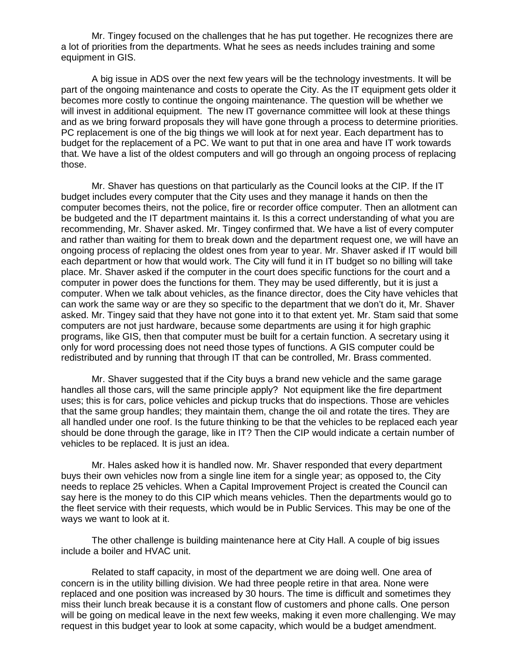Mr. Tingey focused on the challenges that he has put together. He recognizes there are a lot of priorities from the departments. What he sees as needs includes training and some equipment in GIS.

A big issue in ADS over the next few years will be the technology investments. It will be part of the ongoing maintenance and costs to operate the City. As the IT equipment gets older it becomes more costly to continue the ongoing maintenance. The question will be whether we will invest in additional equipment. The new IT governance committee will look at these things and as we bring forward proposals they will have gone through a process to determine priorities. PC replacement is one of the big things we will look at for next year. Each department has to budget for the replacement of a PC. We want to put that in one area and have IT work towards that. We have a list of the oldest computers and will go through an ongoing process of replacing those.

Mr. Shaver has questions on that particularly as the Council looks at the CIP. If the IT budget includes every computer that the City uses and they manage it hands on then the computer becomes theirs, not the police, fire or recorder office computer. Then an allotment can be budgeted and the IT department maintains it. Is this a correct understanding of what you are recommending, Mr. Shaver asked. Mr. Tingey confirmed that. We have a list of every computer and rather than waiting for them to break down and the department request one, we will have an ongoing process of replacing the oldest ones from year to year. Mr. Shaver asked if IT would bill each department or how that would work. The City will fund it in IT budget so no billing will take place. Mr. Shaver asked if the computer in the court does specific functions for the court and a computer in power does the functions for them. They may be used differently, but it is just a computer. When we talk about vehicles, as the finance director, does the City have vehicles that can work the same way or are they so specific to the department that we don't do it, Mr. Shaver asked. Mr. Tingey said that they have not gone into it to that extent yet. Mr. Stam said that some computers are not just hardware, because some departments are using it for high graphic programs, like GIS, then that computer must be built for a certain function. A secretary using it only for word processing does not need those types of functions. A GIS computer could be redistributed and by running that through IT that can be controlled, Mr. Brass commented.

Mr. Shaver suggested that if the City buys a brand new vehicle and the same garage handles all those cars, will the same principle apply? Not equipment like the fire department uses; this is for cars, police vehicles and pickup trucks that do inspections. Those are vehicles that the same group handles; they maintain them, change the oil and rotate the tires. They are all handled under one roof. Is the future thinking to be that the vehicles to be replaced each year should be done through the garage, like in IT? Then the CIP would indicate a certain number of vehicles to be replaced. It is just an idea.

Mr. Hales asked how it is handled now. Mr. Shaver responded that every department buys their own vehicles now from a single line item for a single year; as opposed to, the City needs to replace 25 vehicles. When a Capital Improvement Project is created the Council can say here is the money to do this CIP which means vehicles. Then the departments would go to the fleet service with their requests, which would be in Public Services. This may be one of the ways we want to look at it.

The other challenge is building maintenance here at City Hall. A couple of big issues include a boiler and HVAC unit.

Related to staff capacity, in most of the department we are doing well. One area of concern is in the utility billing division. We had three people retire in that area. None were replaced and one position was increased by 30 hours. The time is difficult and sometimes they miss their lunch break because it is a constant flow of customers and phone calls. One person will be going on medical leave in the next few weeks, making it even more challenging. We may request in this budget year to look at some capacity, which would be a budget amendment.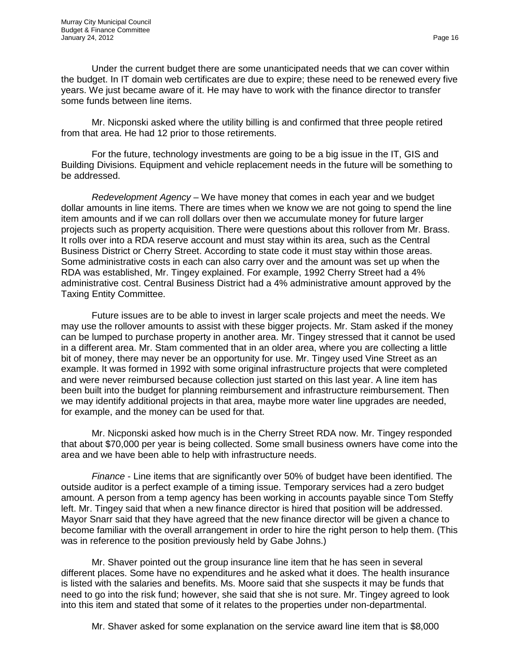Under the current budget there are some unanticipated needs that we can cover within the budget. In IT domain web certificates are due to expire; these need to be renewed every five years. We just became aware of it. He may have to work with the finance director to transfer some funds between line items.

Mr. Nicponski asked where the utility billing is and confirmed that three people retired from that area. He had 12 prior to those retirements.

For the future, technology investments are going to be a big issue in the IT, GIS and Building Divisions. Equipment and vehicle replacement needs in the future will be something to be addressed.

*Redevelopment Agency* – We have money that comes in each year and we budget dollar amounts in line items. There are times when we know we are not going to spend the line item amounts and if we can roll dollars over then we accumulate money for future larger projects such as property acquisition. There were questions about this rollover from Mr. Brass. It rolls over into a RDA reserve account and must stay within its area, such as the Central Business District or Cherry Street. According to state code it must stay within those areas. Some administrative costs in each can also carry over and the amount was set up when the RDA was established, Mr. Tingey explained. For example, 1992 Cherry Street had a 4% administrative cost. Central Business District had a 4% administrative amount approved by the Taxing Entity Committee.

Future issues are to be able to invest in larger scale projects and meet the needs. We may use the rollover amounts to assist with these bigger projects. Mr. Stam asked if the money can be lumped to purchase property in another area. Mr. Tingey stressed that it cannot be used in a different area. Mr. Stam commented that in an older area, where you are collecting a little bit of money, there may never be an opportunity for use. Mr. Tingey used Vine Street as an example. It was formed in 1992 with some original infrastructure projects that were completed and were never reimbursed because collection just started on this last year. A line item has been built into the budget for planning reimbursement and infrastructure reimbursement. Then we may identify additional projects in that area, maybe more water line upgrades are needed, for example, and the money can be used for that.

Mr. Nicponski asked how much is in the Cherry Street RDA now. Mr. Tingey responded that about \$70,000 per year is being collected. Some small business owners have come into the area and we have been able to help with infrastructure needs.

*Finance* - Line items that are significantly over 50% of budget have been identified. The outside auditor is a perfect example of a timing issue. Temporary services had a zero budget amount. A person from a temp agency has been working in accounts payable since Tom Steffy left. Mr. Tingey said that when a new finance director is hired that position will be addressed. Mayor Snarr said that they have agreed that the new finance director will be given a chance to become familiar with the overall arrangement in order to hire the right person to help them. (This was in reference to the position previously held by Gabe Johns.)

Mr. Shaver pointed out the group insurance line item that he has seen in several different places. Some have no expenditures and he asked what it does. The health insurance is listed with the salaries and benefits. Ms. Moore said that she suspects it may be funds that need to go into the risk fund; however, she said that she is not sure. Mr. Tingey agreed to look into this item and stated that some of it relates to the properties under non-departmental.

Mr. Shaver asked for some explanation on the service award line item that is \$8,000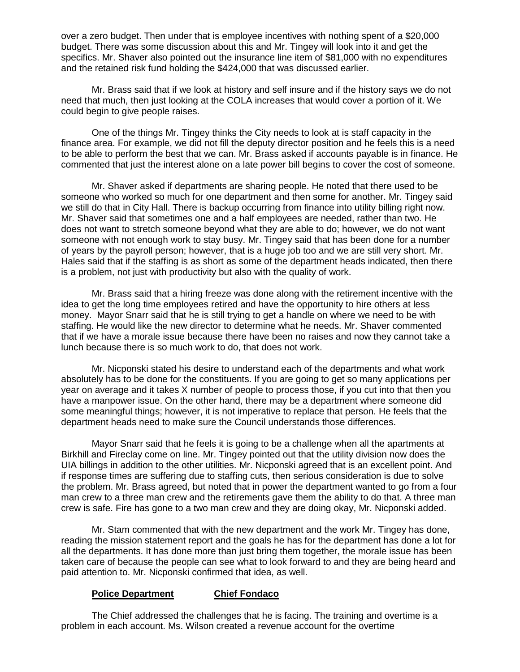over a zero budget. Then under that is employee incentives with nothing spent of a \$20,000 budget. There was some discussion about this and Mr. Tingey will look into it and get the specifics. Mr. Shaver also pointed out the insurance line item of \$81,000 with no expenditures and the retained risk fund holding the \$424,000 that was discussed earlier.

Mr. Brass said that if we look at history and self insure and if the history says we do not need that much, then just looking at the COLA increases that would cover a portion of it. We could begin to give people raises.

One of the things Mr. Tingey thinks the City needs to look at is staff capacity in the finance area. For example, we did not fill the deputy director position and he feels this is a need to be able to perform the best that we can. Mr. Brass asked if accounts payable is in finance. He commented that just the interest alone on a late power bill begins to cover the cost of someone.

Mr. Shaver asked if departments are sharing people. He noted that there used to be someone who worked so much for one department and then some for another. Mr. Tingey said we still do that in City Hall. There is backup occurring from finance into utility billing right now. Mr. Shaver said that sometimes one and a half employees are needed, rather than two. He does not want to stretch someone beyond what they are able to do; however, we do not want someone with not enough work to stay busy. Mr. Tingey said that has been done for a number of years by the payroll person; however, that is a huge job too and we are still very short. Mr. Hales said that if the staffing is as short as some of the department heads indicated, then there is a problem, not just with productivity but also with the quality of work.

Mr. Brass said that a hiring freeze was done along with the retirement incentive with the idea to get the long time employees retired and have the opportunity to hire others at less money. Mayor Snarr said that he is still trying to get a handle on where we need to be with staffing. He would like the new director to determine what he needs. Mr. Shaver commented that if we have a morale issue because there have been no raises and now they cannot take a lunch because there is so much work to do, that does not work.

Mr. Nicponski stated his desire to understand each of the departments and what work absolutely has to be done for the constituents. If you are going to get so many applications per year on average and it takes X number of people to process those, if you cut into that then you have a manpower issue. On the other hand, there may be a department where someone did some meaningful things; however, it is not imperative to replace that person. He feels that the department heads need to make sure the Council understands those differences.

Mayor Snarr said that he feels it is going to be a challenge when all the apartments at Birkhill and Fireclay come on line. Mr. Tingey pointed out that the utility division now does the UIA billings in addition to the other utilities. Mr. Nicponski agreed that is an excellent point. And if response times are suffering due to staffing cuts, then serious consideration is due to solve the problem. Mr. Brass agreed, but noted that in power the department wanted to go from a four man crew to a three man crew and the retirements gave them the ability to do that. A three man crew is safe. Fire has gone to a two man crew and they are doing okay, Mr. Nicponski added.

Mr. Stam commented that with the new department and the work Mr. Tingey has done, reading the mission statement report and the goals he has for the department has done a lot for all the departments. It has done more than just bring them together, the morale issue has been taken care of because the people can see what to look forward to and they are being heard and paid attention to. Mr. Nicponski confirmed that idea, as well.

## **Police Department Chief Fondaco**

The Chief addressed the challenges that he is facing. The training and overtime is a problem in each account. Ms. Wilson created a revenue account for the overtime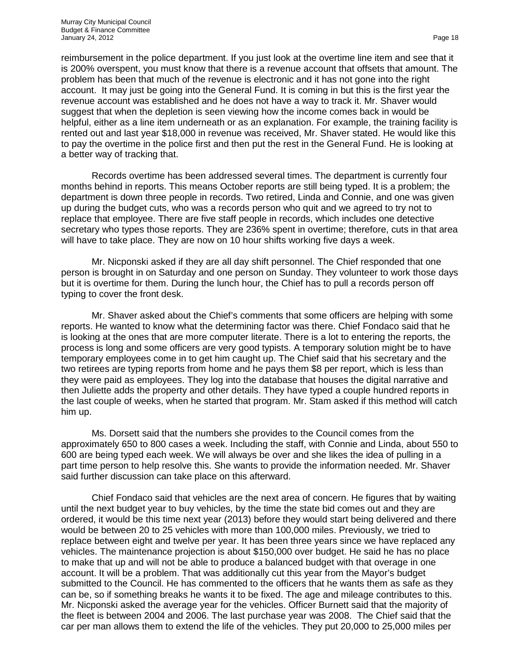reimbursement in the police department. If you just look at the overtime line item and see that it is 200% overspent, you must know that there is a revenue account that offsets that amount. The problem has been that much of the revenue is electronic and it has not gone into the right account. It may just be going into the General Fund. It is coming in but this is the first year the revenue account was established and he does not have a way to track it. Mr. Shaver would suggest that when the depletion is seen viewing how the income comes back in would be helpful, either as a line item underneath or as an explanation. For example, the training facility is rented out and last year \$18,000 in revenue was received, Mr. Shaver stated. He would like this to pay the overtime in the police first and then put the rest in the General Fund. He is looking at a better way of tracking that.

Records overtime has been addressed several times. The department is currently four months behind in reports. This means October reports are still being typed. It is a problem; the department is down three people in records. Two retired, Linda and Connie, and one was given up during the budget cuts, who was a records person who quit and we agreed to try not to replace that employee. There are five staff people in records, which includes one detective secretary who types those reports. They are 236% spent in overtime; therefore, cuts in that area will have to take place. They are now on 10 hour shifts working five days a week.

Mr. Nicponski asked if they are all day shift personnel. The Chief responded that one person is brought in on Saturday and one person on Sunday. They volunteer to work those days but it is overtime for them. During the lunch hour, the Chief has to pull a records person off typing to cover the front desk.

Mr. Shaver asked about the Chief's comments that some officers are helping with some reports. He wanted to know what the determining factor was there. Chief Fondaco said that he is looking at the ones that are more computer literate. There is a lot to entering the reports, the process is long and some officers are very good typists. A temporary solution might be to have temporary employees come in to get him caught up. The Chief said that his secretary and the two retirees are typing reports from home and he pays them \$8 per report, which is less than they were paid as employees. They log into the database that houses the digital narrative and then Juliette adds the property and other details. They have typed a couple hundred reports in the last couple of weeks, when he started that program. Mr. Stam asked if this method will catch him up.

Ms. Dorsett said that the numbers she provides to the Council comes from the approximately 650 to 800 cases a week. Including the staff, with Connie and Linda, about 550 to 600 are being typed each week. We will always be over and she likes the idea of pulling in a part time person to help resolve this. She wants to provide the information needed. Mr. Shaver said further discussion can take place on this afterward.

Chief Fondaco said that vehicles are the next area of concern. He figures that by waiting until the next budget year to buy vehicles, by the time the state bid comes out and they are ordered, it would be this time next year (2013) before they would start being delivered and there would be between 20 to 25 vehicles with more than 100,000 miles. Previously, we tried to replace between eight and twelve per year. It has been three years since we have replaced any vehicles. The maintenance projection is about \$150,000 over budget. He said he has no place to make that up and will not be able to produce a balanced budget with that overage in one account. It will be a problem. That was additionally cut this year from the Mayor's budget submitted to the Council. He has commented to the officers that he wants them as safe as they can be, so if something breaks he wants it to be fixed. The age and mileage contributes to this. Mr. Nicponski asked the average year for the vehicles. Officer Burnett said that the majority of the fleet is between 2004 and 2006. The last purchase year was 2008. The Chief said that the car per man allows them to extend the life of the vehicles. They put 20,000 to 25,000 miles per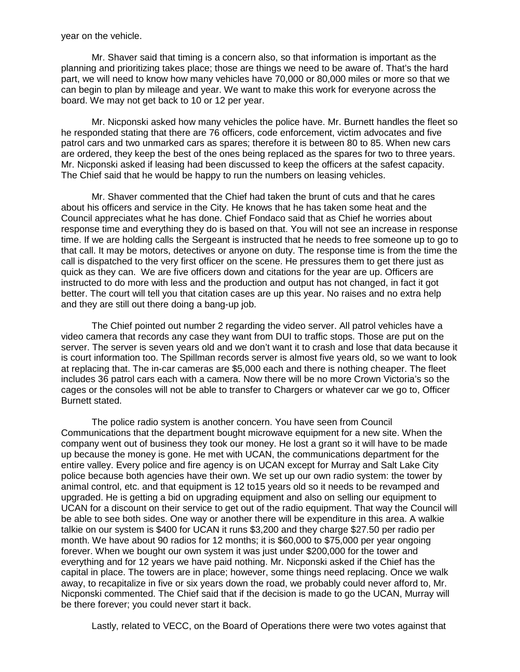year on the vehicle.

Mr. Shaver said that timing is a concern also, so that information is important as the planning and prioritizing takes place; those are things we need to be aware of. That's the hard part, we will need to know how many vehicles have 70,000 or 80,000 miles or more so that we can begin to plan by mileage and year. We want to make this work for everyone across the board. We may not get back to 10 or 12 per year.

Mr. Nicponski asked how many vehicles the police have. Mr. Burnett handles the fleet so he responded stating that there are 76 officers, code enforcement, victim advocates and five patrol cars and two unmarked cars as spares; therefore it is between 80 to 85. When new cars are ordered, they keep the best of the ones being replaced as the spares for two to three years. Mr. Nicponski asked if leasing had been discussed to keep the officers at the safest capacity. The Chief said that he would be happy to run the numbers on leasing vehicles.

Mr. Shaver commented that the Chief had taken the brunt of cuts and that he cares about his officers and service in the City. He knows that he has taken some heat and the Council appreciates what he has done. Chief Fondaco said that as Chief he worries about response time and everything they do is based on that. You will not see an increase in response time. If we are holding calls the Sergeant is instructed that he needs to free someone up to go to that call. It may be motors, detectives or anyone on duty. The response time is from the time the call is dispatched to the very first officer on the scene. He pressures them to get there just as quick as they can. We are five officers down and citations for the year are up. Officers are instructed to do more with less and the production and output has not changed, in fact it got better. The court will tell you that citation cases are up this year. No raises and no extra help and they are still out there doing a bang-up job.

The Chief pointed out number 2 regarding the video server. All patrol vehicles have a video camera that records any case they want from DUI to traffic stops. Those are put on the server. The server is seven years old and we don't want it to crash and lose that data because it is court information too. The Spillman records server is almost five years old, so we want to look at replacing that. The in-car cameras are \$5,000 each and there is nothing cheaper. The fleet includes 36 patrol cars each with a camera. Now there will be no more Crown Victoria's so the cages or the consoles will not be able to transfer to Chargers or whatever car we go to, Officer Burnett stated.

The police radio system is another concern. You have seen from Council Communications that the department bought microwave equipment for a new site. When the company went out of business they took our money. He lost a grant so it will have to be made up because the money is gone. He met with UCAN, the communications department for the entire valley. Every police and fire agency is on UCAN except for Murray and Salt Lake City police because both agencies have their own. We set up our own radio system: the tower by animal control, etc. and that equipment is 12 to15 years old so it needs to be revamped and upgraded. He is getting a bid on upgrading equipment and also on selling our equipment to UCAN for a discount on their service to get out of the radio equipment. That way the Council will be able to see both sides. One way or another there will be expenditure in this area. A walkie talkie on our system is \$400 for UCAN it runs \$3,200 and they charge \$27.50 per radio per month. We have about 90 radios for 12 months; it is \$60,000 to \$75,000 per year ongoing forever. When we bought our own system it was just under \$200,000 for the tower and everything and for 12 years we have paid nothing. Mr. Nicponski asked if the Chief has the capital in place. The towers are in place; however, some things need replacing. Once we walk away, to recapitalize in five or six years down the road, we probably could never afford to, Mr. Nicponski commented. The Chief said that if the decision is made to go the UCAN, Murray will be there forever; you could never start it back.

Lastly, related to VECC, on the Board of Operations there were two votes against that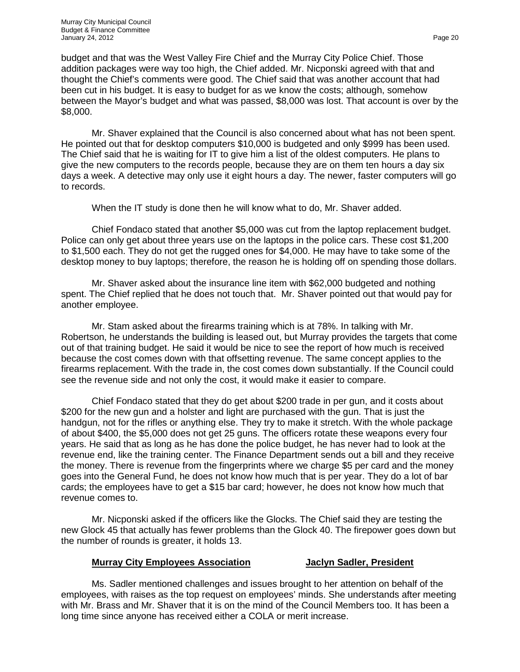budget and that was the West Valley Fire Chief and the Murray City Police Chief. Those addition packages were way too high, the Chief added. Mr. Nicponski agreed with that and thought the Chief's comments were good. The Chief said that was another account that had been cut in his budget. It is easy to budget for as we know the costs; although, somehow between the Mayor's budget and what was passed, \$8,000 was lost. That account is over by the \$8,000.

Mr. Shaver explained that the Council is also concerned about what has not been spent. He pointed out that for desktop computers \$10,000 is budgeted and only \$999 has been used. The Chief said that he is waiting for IT to give him a list of the oldest computers. He plans to give the new computers to the records people, because they are on them ten hours a day six days a week. A detective may only use it eight hours a day. The newer, faster computers will go to records.

When the IT study is done then he will know what to do, Mr. Shaver added.

Chief Fondaco stated that another \$5,000 was cut from the laptop replacement budget. Police can only get about three years use on the laptops in the police cars. These cost \$1,200 to \$1,500 each. They do not get the rugged ones for \$4,000. He may have to take some of the desktop money to buy laptops; therefore, the reason he is holding off on spending those dollars.

Mr. Shaver asked about the insurance line item with \$62,000 budgeted and nothing spent. The Chief replied that he does not touch that. Mr. Shaver pointed out that would pay for another employee.

Mr. Stam asked about the firearms training which is at 78%. In talking with Mr. Robertson, he understands the building is leased out, but Murray provides the targets that come out of that training budget. He said it would be nice to see the report of how much is received because the cost comes down with that offsetting revenue. The same concept applies to the firearms replacement. With the trade in, the cost comes down substantially. If the Council could see the revenue side and not only the cost, it would make it easier to compare.

Chief Fondaco stated that they do get about \$200 trade in per gun, and it costs about \$200 for the new gun and a holster and light are purchased with the gun. That is just the handgun, not for the rifles or anything else. They try to make it stretch. With the whole package of about \$400, the \$5,000 does not get 25 guns. The officers rotate these weapons every four years. He said that as long as he has done the police budget, he has never had to look at the revenue end, like the training center. The Finance Department sends out a bill and they receive the money. There is revenue from the fingerprints where we charge \$5 per card and the money goes into the General Fund, he does not know how much that is per year. They do a lot of bar cards; the employees have to get a \$15 bar card; however, he does not know how much that revenue comes to.

Mr. Nicponski asked if the officers like the Glocks. The Chief said they are testing the new Glock 45 that actually has fewer problems than the Glock 40. The firepower goes down but the number of rounds is greater, it holds 13.

#### **Murray City Employees Association Jaclyn Sadler, President**

Ms. Sadler mentioned challenges and issues brought to her attention on behalf of the employees, with raises as the top request on employees' minds. She understands after meeting with Mr. Brass and Mr. Shaver that it is on the mind of the Council Members too. It has been a long time since anyone has received either a COLA or merit increase.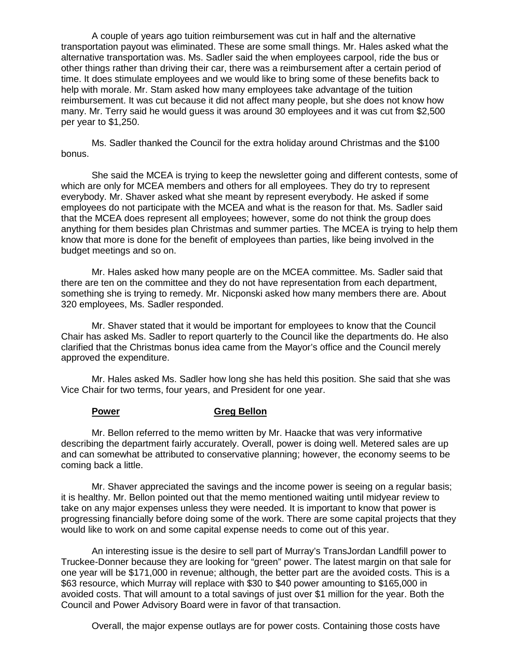A couple of years ago tuition reimbursement was cut in half and the alternative transportation payout was eliminated. These are some small things. Mr. Hales asked what the alternative transportation was. Ms. Sadler said the when employees carpool, ride the bus or other things rather than driving their car, there was a reimbursement after a certain period of time. It does stimulate employees and we would like to bring some of these benefits back to help with morale. Mr. Stam asked how many employees take advantage of the tuition reimbursement. It was cut because it did not affect many people, but she does not know how many. Mr. Terry said he would guess it was around 30 employees and it was cut from \$2,500 per year to \$1,250.

Ms. Sadler thanked the Council for the extra holiday around Christmas and the \$100 bonus.

She said the MCEA is trying to keep the newsletter going and different contests, some of which are only for MCEA members and others for all employees. They do try to represent everybody. Mr. Shaver asked what she meant by represent everybody. He asked if some employees do not participate with the MCEA and what is the reason for that. Ms. Sadler said that the MCEA does represent all employees; however, some do not think the group does anything for them besides plan Christmas and summer parties. The MCEA is trying to help them know that more is done for the benefit of employees than parties, like being involved in the budget meetings and so on.

Mr. Hales asked how many people are on the MCEA committee. Ms. Sadler said that there are ten on the committee and they do not have representation from each department, something she is trying to remedy. Mr. Nicponski asked how many members there are. About 320 employees, Ms. Sadler responded.

Mr. Shaver stated that it would be important for employees to know that the Council Chair has asked Ms. Sadler to report quarterly to the Council like the departments do. He also clarified that the Christmas bonus idea came from the Mayor's office and the Council merely approved the expenditure.

Mr. Hales asked Ms. Sadler how long she has held this position. She said that she was Vice Chair for two terms, four years, and President for one year.

### **Power Greg Bellon**

Mr. Bellon referred to the memo written by Mr. Haacke that was very informative describing the department fairly accurately. Overall, power is doing well. Metered sales are up and can somewhat be attributed to conservative planning; however, the economy seems to be coming back a little.

Mr. Shaver appreciated the savings and the income power is seeing on a regular basis; it is healthy. Mr. Bellon pointed out that the memo mentioned waiting until midyear review to take on any major expenses unless they were needed. It is important to know that power is progressing financially before doing some of the work. There are some capital projects that they would like to work on and some capital expense needs to come out of this year.

An interesting issue is the desire to sell part of Murray's TransJordan Landfill power to Truckee-Donner because they are looking for "green" power. The latest margin on that sale for one year will be \$171,000 in revenue; although, the better part are the avoided costs. This is a \$63 resource, which Murray will replace with \$30 to \$40 power amounting to \$165,000 in avoided costs. That will amount to a total savings of just over \$1 million for the year. Both the Council and Power Advisory Board were in favor of that transaction.

Overall, the major expense outlays are for power costs. Containing those costs have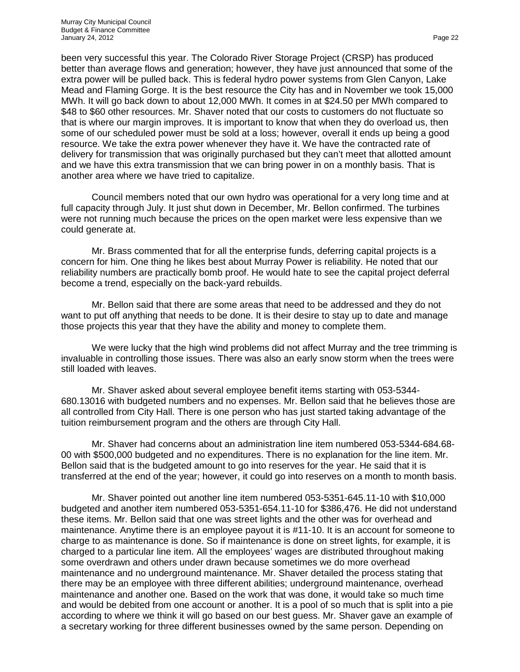been very successful this year. The Colorado River Storage Project (CRSP) has produced better than average flows and generation; however, they have just announced that some of the extra power will be pulled back. This is federal hydro power systems from Glen Canyon, Lake Mead and Flaming Gorge. It is the best resource the City has and in November we took 15,000 MWh. It will go back down to about 12,000 MWh. It comes in at \$24.50 per MWh compared to \$48 to \$60 other resources. Mr. Shaver noted that our costs to customers do not fluctuate so that is where our margin improves. It is important to know that when they do overload us, then some of our scheduled power must be sold at a loss; however, overall it ends up being a good resource. We take the extra power whenever they have it. We have the contracted rate of delivery for transmission that was originally purchased but they can't meet that allotted amount and we have this extra transmission that we can bring power in on a monthly basis. That is another area where we have tried to capitalize.

Council members noted that our own hydro was operational for a very long time and at full capacity through July. It just shut down in December, Mr. Bellon confirmed. The turbines were not running much because the prices on the open market were less expensive than we could generate at.

Mr. Brass commented that for all the enterprise funds, deferring capital projects is a concern for him. One thing he likes best about Murray Power is reliability. He noted that our reliability numbers are practically bomb proof. He would hate to see the capital project deferral become a trend, especially on the back-yard rebuilds.

Mr. Bellon said that there are some areas that need to be addressed and they do not want to put off anything that needs to be done. It is their desire to stay up to date and manage those projects this year that they have the ability and money to complete them.

We were lucky that the high wind problems did not affect Murray and the tree trimming is invaluable in controlling those issues. There was also an early snow storm when the trees were still loaded with leaves.

Mr. Shaver asked about several employee benefit items starting with 053-5344- 680.13016 with budgeted numbers and no expenses. Mr. Bellon said that he believes those are all controlled from City Hall. There is one person who has just started taking advantage of the tuition reimbursement program and the others are through City Hall.

Mr. Shaver had concerns about an administration line item numbered 053-5344-684.68- 00 with \$500,000 budgeted and no expenditures. There is no explanation for the line item. Mr. Bellon said that is the budgeted amount to go into reserves for the year. He said that it is transferred at the end of the year; however, it could go into reserves on a month to month basis.

Mr. Shaver pointed out another line item numbered 053-5351-645.11-10 with \$10,000 budgeted and another item numbered 053-5351-654.11-10 for \$386,476. He did not understand these items. Mr. Bellon said that one was street lights and the other was for overhead and maintenance. Anytime there is an employee payout it is #11-10. It is an account for someone to charge to as maintenance is done. So if maintenance is done on street lights, for example, it is charged to a particular line item. All the employees' wages are distributed throughout making some overdrawn and others under drawn because sometimes we do more overhead maintenance and no underground maintenance. Mr. Shaver detailed the process stating that there may be an employee with three different abilities; underground maintenance, overhead maintenance and another one. Based on the work that was done, it would take so much time and would be debited from one account or another. It is a pool of so much that is split into a pie according to where we think it will go based on our best guess. Mr. Shaver gave an example of a secretary working for three different businesses owned by the same person. Depending on